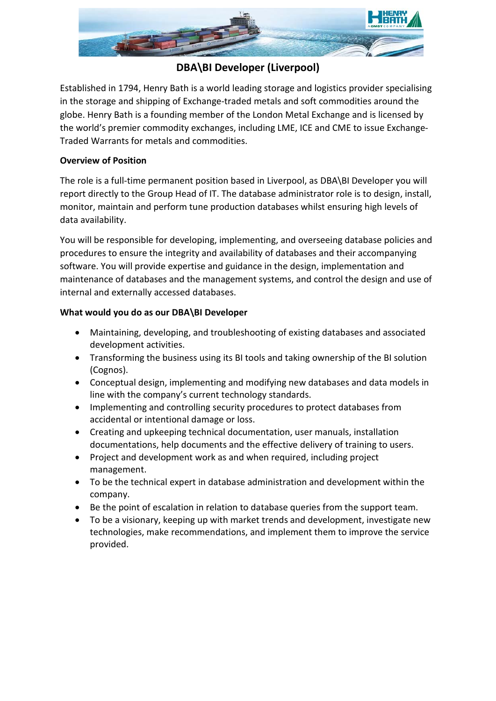

# **DBA\BI Developer (Liverpool)**

Established in 1794, Henry Bath is a world leading storage and logistics provider specialising in the storage and shipping of Exchange-traded metals and soft commodities around the globe. Henry Bath is a founding member of the London Metal Exchange and is licensed by the world's premier commodity exchanges, including LME, ICE and CME to issue Exchange-Traded Warrants for metals and commodities.

## **Overview of Position**

The role is a full-time permanent position based in Liverpool, as DBA\BI Developer you will report directly to the Group Head of IT. The database administrator role is to design, install, monitor, maintain and perform tune production databases whilst ensuring high levels of data availability.

You will be responsible for developing, implementing, and overseeing database policies and procedures to ensure the integrity and availability of databases and their accompanying software. You will provide expertise and guidance in the design, implementation and maintenance of databases and the management systems, and control the design and use of internal and externally accessed databases.

## **What would you do as our DBA\BI Developer**

- Maintaining, developing, and troubleshooting of existing databases and associated development activities.
- Transforming the business using its BI tools and taking ownership of the BI solution (Cognos).
- Conceptual design, implementing and modifying new databases and data models in line with the company's current technology standards.
- Implementing and controlling security procedures to protect databases from accidental or intentional damage or loss.
- Creating and upkeeping technical documentation, user manuals, installation documentations, help documents and the effective delivery of training to users.
- Project and development work as and when required, including project management.
- To be the technical expert in database administration and development within the company.
- Be the point of escalation in relation to database queries from the support team.
- To be a visionary, keeping up with market trends and development, investigate new technologies, make recommendations, and implement them to improve the service provided.